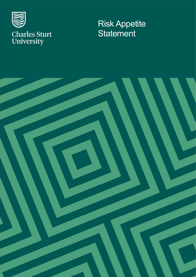

## Risk Appetite **Statement**

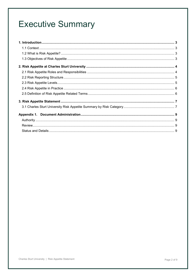## **Executive Summary**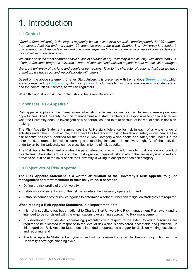# 1. Introduction

#### 1.1 Context

"Charles Sturt University is the largest regionally-based university in Australia, enrolling nearly 43,000 students from across Australia and more than 120 countries around the world. Charles Sturt University is a leader in online-supported distance learning and one of the largest and most experienced providers of courses delivered by innovative online education.

We offer one of the most comprehensive suites of courses of any university in the country, with more than 70% of our professional programs delivered in areas of identified national and regional labour market skill shortages.

We are a university of the land and people of our regions. True to the character of regional Australia we have gumption, we have soul and we collaborate with others."

Based on the above statement, Charles Sturt University is presented with tremendous Opportunities, which are accompanied by *Obligations*, which carry *risks*. The University has obligations towards its students, staff and the communities it serves, as well as regulators.

When thinking about risk, the context should be taken into account.

#### 1.2 What is Risk Appetite?

Risk appetite applies to the management of existing activities, as well as the University seeking out new opportunities. The University Council, management and staff members are responsible to continually review what the University does, to investigate new opportunities, and to take account of individual risks in decisionmaking.

The Risk Appetite Statement summarises the University's tolerance for risk in each of a whole range of activities undertaken. For example, the University's tolerance for risk in health and safety is low; hence a low risk appetite has been identified for the 'People' Risk Category which health and safety falls under. On the other hand, tolerance for risk in learning and teaching innovation is relatively high. All of the activities undertaken by the University can be classified in terms of risk appetite.

The Risk Appetite Statement provides the parameters within which the University must operate and conduct its activities. The statement, sets out the most significant types of risks to which the University is exposed and provides an outline of the level of risk the University is willing to accept for each risk category.

### 1.3 Objectives of Risk Appetite

#### The Risk Appetite Statement is a written articulation of the University's Risk Appetite to guide management and staff members in their daily roles. It serves to:

- Define the risk profile of the University;
- Establish a consistent view of the risk parameters the University operates in; and
- Establish boundaries for risk categories to determine whether further risk mitigation strategies are required.

#### When reading a Risk Appetite Statement, it is important to note:

- It is not a substitute for, but an adjunct to Charles Sturt University's Risk management Framework and is intended to be consistent with the organisations overarching approach to Risk management;
- It is developed to guide decision-making, particularly with respect to the extent to which resources are required to be allocated in response to the level of risk which is considered 'acceptable and justifiable'. In this regard the Risk Appetite Statement is intended to operate as a trigger for decision making, escalation and reporting; and
- The Risk Appetite Statement is dynamic and will be reviewed on a regular basis in conjunction with the University's strategic planning cycle.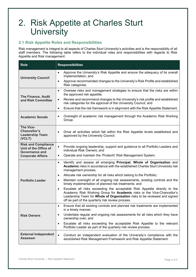## 2. Risk Appetite at Charles Sturt **University**

### 2.1 Risk Appetite Roles and Responsibilities

Risk management is integral to all aspects of Charles Sturt University's activities and is the responsibility of all staff members. The following table refers to the individual roles and responsibilities with regards to Risk Appetite and Risk management:

| <b>Role</b>                                                                  | <b>Responsibilities</b>                                                                                                                                                                                                                                                                             |
|------------------------------------------------------------------------------|-----------------------------------------------------------------------------------------------------------------------------------------------------------------------------------------------------------------------------------------------------------------------------------------------------|
| <b>University Council</b>                                                    | Approve the University's Risk Appetite and ensure the adequacy of its overall<br>$\bullet$<br>implementation; and                                                                                                                                                                                   |
|                                                                              | Approve recommended changes to the University's Risk Profile and established<br>$\bullet$<br>Risk categories.                                                                                                                                                                                       |
| <b>The Finance, Audit</b><br>and Risk Committee                              | Oversee risks and management strategies to ensure that the risks are within<br>$\bullet$<br>the approved risk appetite;                                                                                                                                                                             |
|                                                                              | Review and recommend changes to the University's risk profile and established<br>$\bullet$<br>risk categories for the approval of the University Council; and                                                                                                                                       |
|                                                                              | Ensure that the risk framework is in alignment with the Risk Appetite Statement.<br>$\bullet$                                                                                                                                                                                                       |
| <b>Academic Senate</b>                                                       | Oversight of academic risk management through the Academic Risk Working<br>$\bullet$<br>Group.                                                                                                                                                                                                      |
| <b>The Vice-</b><br><b>Chancellor's</b><br><b>Leadership Team</b><br>(VCLT)  | Drive all activities which fall within the Risk Appetite levels established and<br>$\bullet$<br>approved by the University Council.                                                                                                                                                                 |
| <b>Risk and Compliance</b><br>Unit of the Office of<br><b>Governance and</b> | Provide ongoing leadership, support and guidance to all Portfolio Leaders and<br>$\bullet$<br>individual Risk Owners; and                                                                                                                                                                           |
| <b>Corporate Affairs</b>                                                     | Operate and maintain the 'Protecht' Risk Management System.<br>$\bullet$                                                                                                                                                                                                                            |
|                                                                              | Identify and assess all emerging Principal, Whole of Organisation and<br>$\bullet$<br>Academic risks in accordance with the established Charles Sturt University risk<br>management process;                                                                                                        |
|                                                                              | Allocate risk ownership for all risks which belong to the Portfolio;<br>$\bullet$                                                                                                                                                                                                                   |
| <b>Portfolio Leader</b>                                                      | Maintain oversight of all ongoing risk assessments, existing controls and the<br>٠<br>timely implementation of planned risk treatments; and                                                                                                                                                         |
|                                                                              | Escalate all risks exceeding the acceptable Risk Appetite directly to the<br>$\bullet$<br>Academic Risk Working Group for Academic risks or the Vice-Chancellor's<br>Leadership Team for Whole of Organisation risks to be reviewed and signed<br>off as part of the quarterly risk review process. |
|                                                                              | Ensure that all existing controls and planned risk treatments are implemented<br>٠<br>in a timely manner;                                                                                                                                                                                           |
| <b>Risk Owners</b>                                                           | Undertake regular and ongoing risk assessments for all risks which they have<br>$\bullet$<br>ownership over; and                                                                                                                                                                                    |
|                                                                              | Escalate all risks exceeding the acceptable Risk Appetite to the relevant<br>٠<br>Portfolio Leader as part of the quarterly risk review process.                                                                                                                                                    |
| <b>External Independent</b><br><b>Assessor</b>                               | Conduct an independent evaluation of the University's compliance with the<br>$\bullet$<br>established Risk Management Framework and Risk Appetite Statement.                                                                                                                                        |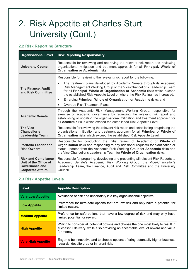# 2. Risk Appetite at Charles Sturt University (Cont.)

### 2.2 Risk Reporting Structure

| <b>Organisational Level</b>                                                                       | <b>Risk Reporting Responsibility</b>                                                                                                                                                                                                                                                                                      |  |
|---------------------------------------------------------------------------------------------------|---------------------------------------------------------------------------------------------------------------------------------------------------------------------------------------------------------------------------------------------------------------------------------------------------------------------------|--|
| <b>University Council</b>                                                                         | Responsible for reviewing and approving the relevant risk report and reviewing<br>organisational mitigation and treatment approach for all Principal, Whole of<br><b>Organisation or Academic risks.</b>                                                                                                                  |  |
| <b>The Finance, Audit</b><br>and Risk Committee                                                   | Responsible for reviewing the relevant risk report for the following:                                                                                                                                                                                                                                                     |  |
|                                                                                                   | The treatment plans developed by Academic Senate through its Academic<br>Risk Management Working Group or the Vice-Chancellor's Leadership Team<br>for all Principal, Whole of Organisation or Academic risks which exceed<br>the established Risk Appetite Level or where the Risk Rating has increased;                 |  |
|                                                                                                   | Emerging Principal, Whole of Organisation or Academic risks; and<br>$\bullet$                                                                                                                                                                                                                                             |  |
|                                                                                                   | Overdue Risk Treatment Plans.<br>$\bullet$                                                                                                                                                                                                                                                                                |  |
| <b>Academic Senate</b>                                                                            | Through the Academic Risk Management Working Group, responsible for<br>exercise of academic governance by reviewing the relevant risk report and<br>establishing or updating the organisational mitigation and treatment approach for<br>all Academic risks which exceed the established Risk Appetite Level.             |  |
| <b>The Vice-</b><br>Chancellor's<br><b>Leadership Team</b>                                        | Responsible for reviewing the relevant risk report and establishing or updating the<br>organisational mitigation and treatment approach for all Principal or Whole of<br>Organisation risks which exceed the established Risk Appetite Level.                                                                             |  |
| <b>Portfolio Leader and</b><br><b>Risk Owners</b>                                                 | Responsible for conducting the initial review of <b>Academic</b> or Whole of<br>Organisation risks and responding to any additional requests for clarification or<br>status updates from the Academic Risk Working Group for Academic risks and<br>the Vice-Chancellor's Leadership Team for Whole of Organisation risks. |  |
| <b>Risk and Compliance</b><br>Unit of the Office of<br>Governance and<br><b>Corporate Affairs</b> | Responsible for preparing, developing and presenting all relevant Risk Reports to<br>Academic Senate's Academic Risk Working Group, the Vice-Chancellor's<br>Leadership Team, the Finance, Audit and Risk Committee and the University<br>Council.                                                                        |  |

### 2.3 Risk Appetite Levels

| Level                     | <b>Appetite Description</b>                                                                                                                                                              |
|---------------------------|------------------------------------------------------------------------------------------------------------------------------------------------------------------------------------------|
| <b>Very Low Appetite</b>  | Avoidance of risk and uncertainty is a key organisational objective.                                                                                                                     |
| <b>Low Appetite</b>       | Preference for ultra-safe options that are low risk and only have a potential for<br>limited reward.                                                                                     |
| <b>Medium Appetite</b>    | Preference for safe options that have a low degree of risk and may only have<br>limited potential for reward.                                                                            |
| <b>High Appetite</b>      | Willing to consider all potential options and choose the one most likely to result in<br>successful delivery, while also providing an acceptable level of reward and value<br>for money. |
| <b>Very High Appetite</b> | Eager to be innovative and to choose options offering potentially higher business<br>rewards, despite greater inherent risk.                                                             |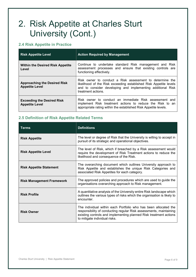# 2. Risk Appetite at Charles Sturt University (Cont.)

### 2.4 Risk Appetite in Practice

| <b>Risk Appetite Level</b>                                   | <b>Action Required by Management</b>                                                                                                                                                                               |
|--------------------------------------------------------------|--------------------------------------------------------------------------------------------------------------------------------------------------------------------------------------------------------------------|
| <b>Within the Desired Risk Appetite</b><br>Level             | Continue to undertake standard Risk management and Risk<br>assessment processes and ensure that existing controls are<br>functioning effectively.                                                                  |
| <b>Approaching the Desired Risk</b><br><b>Appetite Level</b> | Risk owner to conduct a Risk assessment to determine the<br>likelihood of the Risk exceeding established Risk Appetite levels<br>and to consider developing and implementing additional Risk<br>treatment actions. |
| <b>Exceeding the Desired Risk</b><br><b>Appetite Level</b>   | Risk owner to conduct an immediate Risk assessment and<br>implement Risk treatment actions to reduce the Risk to an<br>appropriate rating within the established Risk Appetite levels.                             |

### 2.5 Definition of Risk Appetite Related Terms

| <b>Terms</b>                     | <b>Definitions</b>                                                                                                                                                                                                                          |
|----------------------------------|---------------------------------------------------------------------------------------------------------------------------------------------------------------------------------------------------------------------------------------------|
| <b>Risk Appetite</b>             | The level or degree of Risk that the University is willing to accept in<br>pursuit of its strategic and operational objectives.                                                                                                             |
| <b>Risk Appetite Level</b>       | The level of Risk, which if breached by a Risk assessment would<br>require the development of Risk Treatment actions to reduce the<br>likelihood and consequence of the Risk.                                                               |
| <b>Risk Appetite Statement</b>   | The overarching document which outlines University approach to<br>Risk Appetite and establishes the unique Risk Categories and<br>associated Risk Appetites for each category.                                                              |
| <b>Risk Management Framework</b> | The approved policies and procedures which are used to guide the<br>organisations overarching approach to Risk management.                                                                                                                  |
| <b>Risk Profile</b>              | A quantitative analysis of the University entire Risk landscape which<br>outlines the various types of risks which the organisation is likely to<br>encounter.                                                                              |
| <b>Risk Owner</b>                | The individual within each Portfolio who has been allocated the<br>responsibility of conducting regular Risk assessments, maintaining<br>existing controls and implementing planned Risk treatment actions<br>to mitigate individual risks. |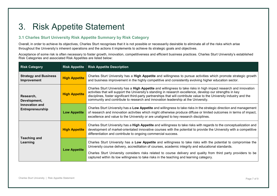## 3. Risk Appetite Statement

### 3.1 Charles Sturt University Risk Appetite Summary by Risk Category

Overall, in order to achieve its objectives, Charles Sturt recognises that it is not possible or necessarily desirable to eliminate all of the risks which arise throughout the University's inherent operations and the actions it implements to achieve its strategic goals and objectives.

Acceptance of some risk is often necessary to foster growth, innovation, competitiveness and efficient business practices. Charles Sturt University's established Risk Categories and associated Risk Appetites are listed below:

| <b>Risk Category</b>                                            | <b>Risk Appetite</b> | <b>Risk Appetite Description</b>                                                                                                                                                                                                                                                                                                                                                                                                                |
|-----------------------------------------------------------------|----------------------|-------------------------------------------------------------------------------------------------------------------------------------------------------------------------------------------------------------------------------------------------------------------------------------------------------------------------------------------------------------------------------------------------------------------------------------------------|
| <b>Strategy and Business</b><br>Improvement                     | <b>High Appetite</b> | Charles Sturt University has a High Appetite and willingness to pursue activities which promote strategic growth<br>and business improvement in the highly competitive and consistently evolving higher education sector.                                                                                                                                                                                                                       |
| Research,<br>Development,<br>Innovation and<br>Entrepreneurship | <b>High Appetite</b> | Charles Sturt University has a High Appetite and willingness to take risks in high impact research and innovation<br>activities that will support the University's standing in research excellence, develop our strengths in key<br>disciplines, foster significant third-party partnerships that will contribute value to the University industry and the<br>community and contribute to research and innovation leadership at the University. |
|                                                                 | <b>Low Appetite</b>  | Charles Sturt University has a Low Appetite and willingness to take risks in the strategic direction and management<br>of research and innovation activities which might otherwise produce diffuse or limited outcomes in terms of impact,<br>excellence and value to the University or are unaligned to key research disciplines.                                                                                                              |
| <b>Teaching and</b><br>Learning                                 | <b>High Appetite</b> | Charles Sturt University has a High Appetite and willingness to take risks with regards to the conceptualization and<br>development of market-orientated innovative courses with the potential to provide the University with a competitive<br>differentiation and contribute to ongoing commercial success.                                                                                                                                    |
|                                                                 | <b>Low Appetite</b>  | Charles Sturt University has a Low Appetite and willingness to take risks with the potential to compromise the<br>University course delivery, accreditation of courses, academic integrity and educational standards.<br>Charles Sturt University considers risks related to course delivery and quality from third party providers to be<br>captured within its low willingness to take risks in the teaching and learning category.           |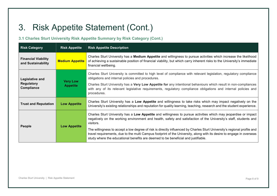# 3. Risk Appetite Statement (Cont.)

### 3.1 Charles Sturt University Risk Appetite Summary by Risk Category (Cont.)

| <b>Risk Category</b>                               | <b>Risk Appetite</b>               | <b>Risk Appetite Description</b>                                                                                                                                                                                                                                                                                                                                                                                                                                                                                                                                                            |
|----------------------------------------------------|------------------------------------|---------------------------------------------------------------------------------------------------------------------------------------------------------------------------------------------------------------------------------------------------------------------------------------------------------------------------------------------------------------------------------------------------------------------------------------------------------------------------------------------------------------------------------------------------------------------------------------------|
| <b>Financial Viability</b><br>and Sustainability   | <b>Medium Appetite</b>             | Charles Sturt University has a Medium Appetite and willingness to pursue activities which increase the likelihood<br>of achieving a sustainable position of financial viability, but which carry inherent risks to the University's immediate<br>financial wellbeing.                                                                                                                                                                                                                                                                                                                       |
| Legislative and<br><b>Regulatory</b><br>Compliance | <b>Very Low</b><br><b>Appetite</b> | Charles Sturt University is committed to high level of compliance with relevant legislation, regulatory compliance<br>obligations and internal policies and procedures.<br>Charles Sturt University has a Very Low Appetite for any intentional behaviours which result in non-compliances<br>with any of its relevant legislative requirements, regulatory compliance obligations and internal policies and<br>procedures.                                                                                                                                                                 |
| <b>Trust and Reputation</b>                        | <b>Low Appetite</b>                | Charles Sturt University has a Low Appetite and willingness to take risks which may impact negatively on the<br>University's existing relationships and reputation for quality learning, teaching, research and the student experience.                                                                                                                                                                                                                                                                                                                                                     |
| People                                             | <b>Low Appetite</b>                | Charles Sturt University has a Low Appetite and willingness to pursue activities which may jeopardise or impact<br>negatively on the working environment and health, safety and satisfaction of the University's staff, students and<br>visitors.<br>The willingness to accept a low degree of risk is directly influenced by Charles Sturt University's regional profile and<br>travel requirements, due to the multi Campus footprint of the University, along with its desire to engage in overseas<br>study where the educational benefits are deemed to be beneficial and justifiable. |